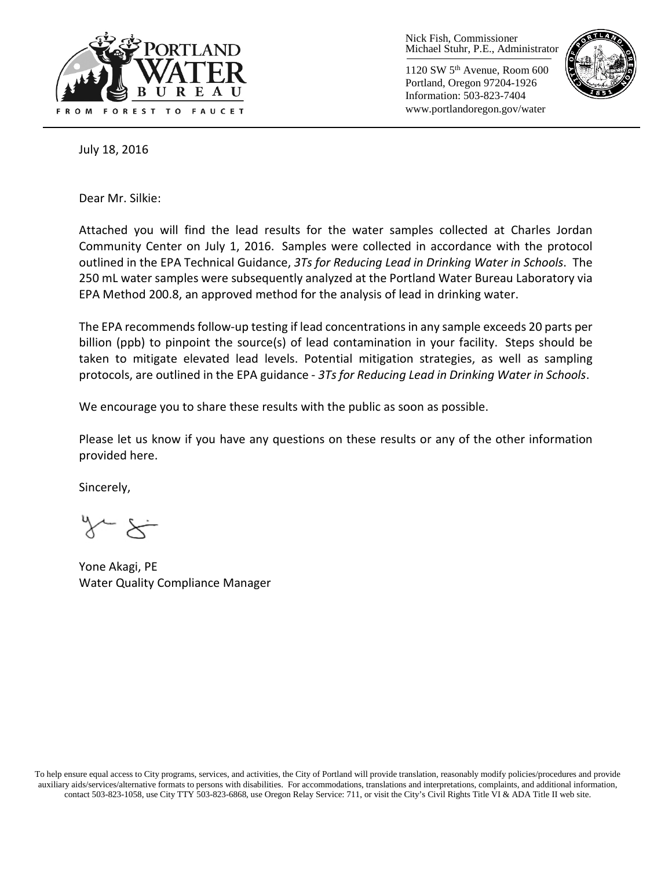

Nick Fish, Commissioner Michael Stuhr, P.E., Administrator

1120 SW 5th Avenue, Room 600 Portland, Oregon 97204-1926 Information: 503-823-7404 www.portlandoregon.gov/water



July 18, 2016

Dear Mr. Silkie:

Attached you will find the lead results for the water samples collected at Charles Jordan Community Center on July 1, 2016. Samples were collected in accordance with the protocol outlined in the EPA Technical Guidance, *3Ts for Reducing Lead in Drinking Water in Schools*. The 250 mL water samples were subsequently analyzed at the Portland Water Bureau Laboratory via EPA Method 200.8, an approved method for the analysis of lead in drinking water.

The EPA recommends follow-up testing if lead concentrations in any sample exceeds 20 parts per billion (ppb) to pinpoint the source(s) of lead contamination in your facility. Steps should be taken to mitigate elevated lead levels. Potential mitigation strategies, as well as sampling protocols, are outlined in the EPA guidance - *3Ts for Reducing Lead in Drinking Water in Schools*.

We encourage you to share these results with the public as soon as possible.

Please let us know if you have any questions on these results or any of the other information provided here.

Sincerely,

Yone Akagi, PE Water Quality Compliance Manager